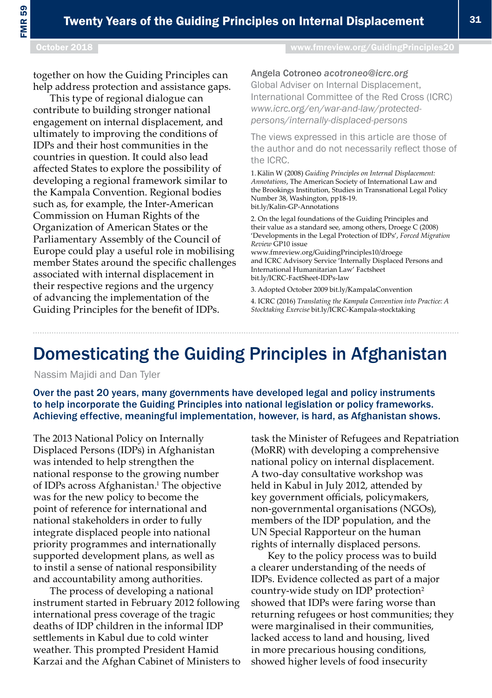# Domesticating the Guiding Principles in Afghanistan

Nassim Majidi and Dan Tyler

Over the past 20 years, many governments have developed legal and policy instruments to help incorporate the Guiding Principles into national legislation or policy frameworks. Achieving effective, meaningful implementation, however, is hard, as Afghanistan shows.

The 2013 National Policy on Internally Displaced Persons (IDPs) in Afghanistan was intended to help strengthen the national response to the growing number of IDPs across Afghanistan.<sup>1</sup> The objective was for the new policy to become the point of reference for international and national stakeholders in order to fully integrate displaced people into national priority programmes and internationally supported development plans, as well as to instil a sense of national responsibility and accountability among authorities.

The process of developing a national instrument started in February 2012 following international press coverage of the tragic deaths of IDP children in the informal IDP settlements in Kabul due to cold winter weather. This prompted President Hamid Karzai and the Afghan Cabinet of Ministers to

task the Minister of Refugees and Repatriation (MoRR) with developing a comprehensive national policy on internal displacement. A two-day consultative workshop was held in Kabul in July 2012, attended by key government officials, policymakers, non-governmental organisations (NGOs), members of the IDP population, and the UN Special Rapporteur on the human rights of internally displaced persons.

Key to the policy process was to build a clearer understanding of the needs of IDPs. Evidence collected as part of a major country-wide study on IDP protection2 showed that IDPs were faring worse than returning refugees or host communities; they were marginalised in their communities, lacked access to land and housing, lived in more precarious housing conditions, showed higher levels of food insecurity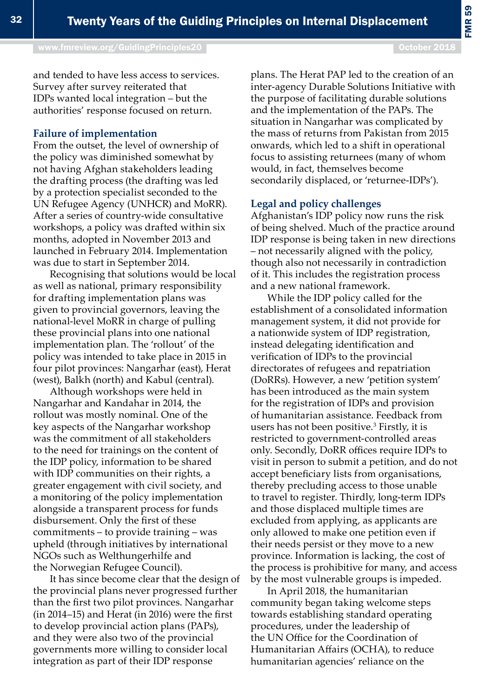[www.fmreview.org/GuidingPrinciples20](http://www.fmreview.org/dayton20
)

plans. The Herat PAP led to the creation of an inter-agency Durable Solutions Initiative with the purpose of facilitating durable solutions and the implementation of the PAPs. The situation in Nangarhar was complicated by the mass of returns from Pakistan from 2015 onwards, which led to a shift in operational focus to assisting returnees (many of whom would, in fact, themselves become secondarily displaced, or 'returnee-IDPs').

#### **Legal and policy challenges**

Afghanistan's IDP policy now runs the risk of being shelved. Much of the practice around IDP response is being taken in new directions – not necessarily aligned with the policy, though also not necessarily in contradiction of it. This includes the registration process and a new national framework.

While the IDP policy called for the establishment of a consolidated information management system, it did not provide for a nationwide system of IDP registration, instead delegating identification and verification of IDPs to the provincial directorates of refugees and repatriation (DoRRs). However, a new 'petition system' has been introduced as the main system for the registration of IDPs and provision of humanitarian assistance. Feedback from users has not been positive.<sup>3</sup> Firstly, it is restricted to government-controlled areas only. Secondly, DoRR offices require IDPs to visit in person to submit a petition, and do not accept beneficiary lists from organisations, thereby precluding access to those unable to travel to register. Thirdly, long-term IDPs and those displaced multiple times are excluded from applying, as applicants are only allowed to make one petition even if their needs persist or they move to a new province. Information is lacking, the cost of the process is prohibitive for many, and access by the most vulnerable groups is impeded.

In April 2018, the humanitarian community began taking welcome steps towards establishing standard operating procedures, under the leadership of the UN Office for the Coordination of Humanitarian Affairs (OCHA), to reduce humanitarian agencies' reliance on the

and tended to have less access to services. Survey after survey reiterated that IDPs wanted local integration – but the authorities' response focused on return.

#### **Failure of implementation**

From the outset, the level of ownership of the policy was diminished somewhat by not having Afghan stakeholders leading the drafting process (the drafting was led by a protection specialist seconded to the UN Refugee Agency (UNHCR) and MoRR). After a series of country-wide consultative workshops, a policy was drafted within six months, adopted in November 2013 and launched in February 2014. Implementation was due to start in September 2014.

Recognising that solutions would be local as well as national, primary responsibility for drafting implementation plans was given to provincial governors, leaving the national-level MoRR in charge of pulling these provincial plans into one national implementation plan. The 'rollout' of the policy was intended to take place in 2015 in four pilot provinces: Nangarhar (east), Herat (west), Balkh (north) and Kabul (central).

Although workshops were held in Nangarhar and Kandahar in 2014, the rollout was mostly nominal. One of the key aspects of the Nangarhar workshop was the commitment of all stakeholders to the need for trainings on the content of the IDP policy, information to be shared with IDP communities on their rights, a greater engagement with civil society, and a monitoring of the policy implementation alongside a transparent process for funds disbursement. Only the first of these commitments – to provide training – was upheld (through initiatives by international NGOs such as Welthungerhilfe and the Norwegian Refugee Council).

It has since become clear that the design of the provincial plans never progressed further than the first two pilot provinces. Nangarhar (in 2014–15) and Herat (in 2016) were the first to develop provincial action plans (PAPs), and they were also two of the provincial governments more willing to consider local integration as part of their IDP response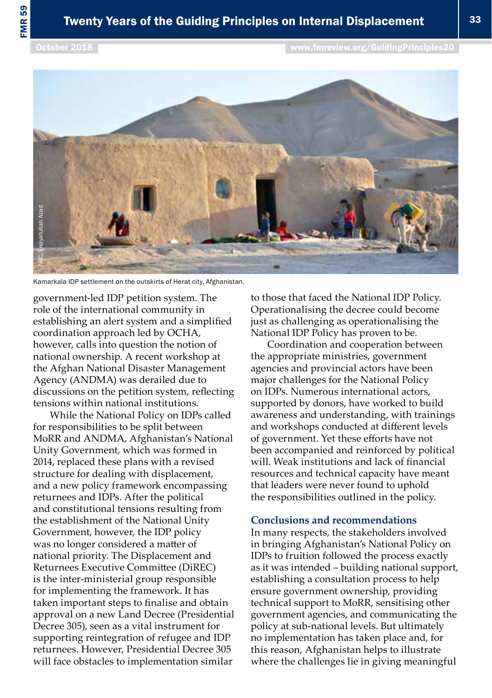

government-led IDP petition system. The role of the international community in establishing an alert system and a simplified coordination approach led by OCHA, however, calls into question the notion of national ownership. A recent workshop at the Afghan National Disaster Management Agency (ANDMA) was derailed due to discussions on the petition system, reflecting tensions within national institutions.

While the National Policy on IDPs called for responsibilities to be split between MoRR and ANDMA, Afghanistan's National Unity Government, which was formed in 2014, replaced these plans with a revised structure for dealing with displacement, and a new policy framework encompassing returnees and IDPs. After the political and constitutional tensions resulting from the establishment of the National Unity Government, however, the IDP policy was no longer considered a matter of national priority. The Displacement and Returnees Executive Committee (DiREC) is the inter-ministerial group responsible for implementing the framework. It has taken important steps to finalise and obtain approval on a new Land Decree (Presidential Decree 305), seen as a vital instrument for supporting reintegration of refugee and IDP returnees. However, Presidential Decree 305 will face obstacles to implementation similar

to those that faced the National IDP Policy. Operationalising the decree could become just as challenging as operationalising the National IDP Policy has proven to be.

Coordination and cooperation between the appropriate ministries, government agencies and provincial actors have been major challenges for the National Policy on IDPs. Numerous international actors, supported by donors, have worked to build awareness and understanding, with trainings and workshops conducted at different levels of government. Yet these efforts have not been accompanied and reinforced by political will. Weak institutions and lack of financial resources and technical capacity have meant that leaders were never found to uphold the responsibilities outlined in the policy.

### **Conclusions and recommendations**

In many respects, the stakeholders involved in bringing Afghanistan's National Policy on IDPs to fruition followed the process exactly as it was intended – building national support, establishing a consultation process to help ensure government ownership, providing technical support to MoRR, sensitising other government agencies, and communicating the policy at sub-national levels. But ultimately no implementation has taken place and, for this reason, Afghanistan helps to illustrate where the challenges lie in giving meaningful